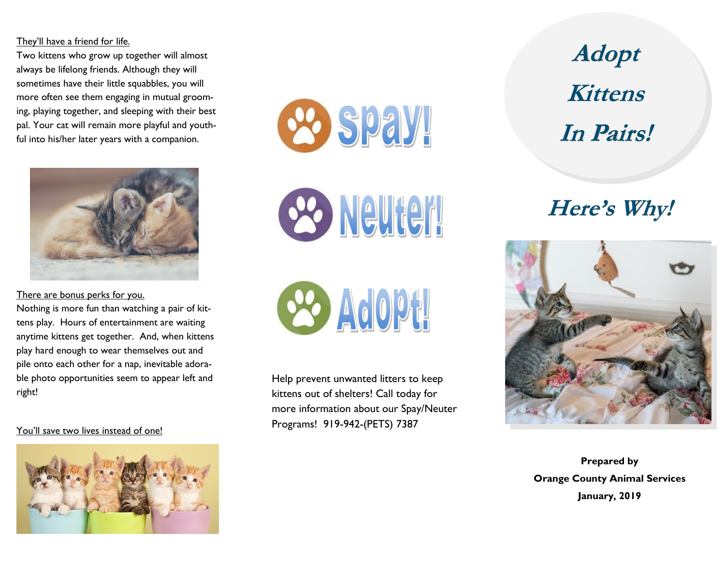## They'll have a friend for life.

Two kittens who grow up together will almost always be lifelong friends. Although they will sometimes have their little squabbles, you will more often see them engaging in mutual grooming, playing together, and sleeping with their best pal. Your cat will remain more playful and youthful into his/her later years with a companion.



There are bonus perks for you.

Nothing is more fun than watching a pair of kittens play. Hours of entertainment are waiting anytime kittens get together. And, when kittens play hard enough to wear themselves out and pile onto each other for a nap, inevitable adorable photo opportunities seem to appear left and right!

You'll save two lives instead of one!



**ee spay!** 

es Neuter!

**88 Adopt** 

Help prevent unwanted litters to keep kittens out of shelters! Call today for more information about our Spay/Neuter Programs! 919-942-(PETS) 7387

**Adopt Kittens In Pairs!**

## **Here's Why!**



**Prepared by Orange County Animal Services January, 2019**